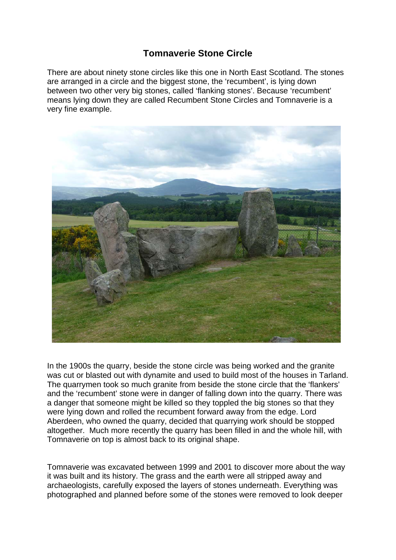## **Tomnaverie Stone Circle**

There are about ninety stone circles like this one in North East Scotland. The stones are arranged in a circle and the biggest stone, the 'recumbent', is lying down between two other very big stones, called 'flanking stones'. Because 'recumbent' means lying down they are called Recumbent Stone Circles and Tomnaverie is a very fine example.



In the 1900s the quarry, beside the stone circle was being worked and the granite was cut or blasted out with dynamite and used to build most of the houses in Tarland. The quarrymen took so much granite from beside the stone circle that the 'flankers' and the 'recumbent' stone were in danger of falling down into the quarry. There was a danger that someone might be killed so they toppled the big stones so that they were lying down and rolled the recumbent forward away from the edge. Lord Aberdeen, who owned the quarry, decided that quarrying work should be stopped altogether. Much more recently the quarry has been filled in and the whole hill, with Tomnaverie on top is almost back to its original shape.

Tomnaverie was excavated between 1999 and 2001 to discover more about the way it was built and its history. The grass and the earth were all stripped away and archaeologists, carefully exposed the layers of stones underneath. Everything was photographed and planned before some of the stones were removed to look deeper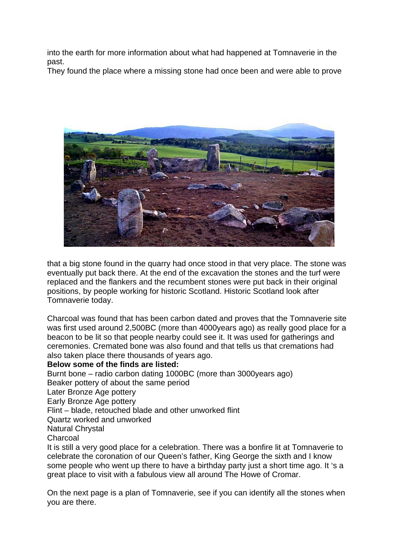into the earth for more information about what had happened at Tomnaverie in the past.

They found the place where a missing stone had once been and were able to prove



that a big stone found in the quarry had once stood in that very place. The stone was eventually put back there. At the end of the excavation the stones and the turf were replaced and the flankers and the recumbent stones were put back in their original positions, by people working for historic Scotland. Historic Scotland look after Tomnaverie today.

Charcoal was found that has been carbon dated and proves that the Tomnaverie site was first used around 2,500BC (more than 4000years ago) as really good place for a beacon to be lit so that people nearby could see it. It was used for gatherings and ceremonies. Cremated bone was also found and that tells us that cremations had also taken place there thousands of years ago.

## **Below some of the finds are listed:**

Burnt bone – radio carbon dating 1000BC (more than 3000years ago) Beaker pottery of about the same period Later Bronze Age pottery Early Bronze Age pottery Flint – blade, retouched blade and other unworked flint Quartz worked and unworked Natural Chrystal **Charcoal** It is still a very good place for a celebration. There was a bonfire lit at Tomnaverie to

celebrate the coronation of our Queen's father, King George the sixth and I know some people who went up there to have a birthday party just a short time ago. It 's a great place to visit with a fabulous view all around The Howe of Cromar.

On the next page is a plan of Tomnaverie, see if you can identify all the stones when you are there.